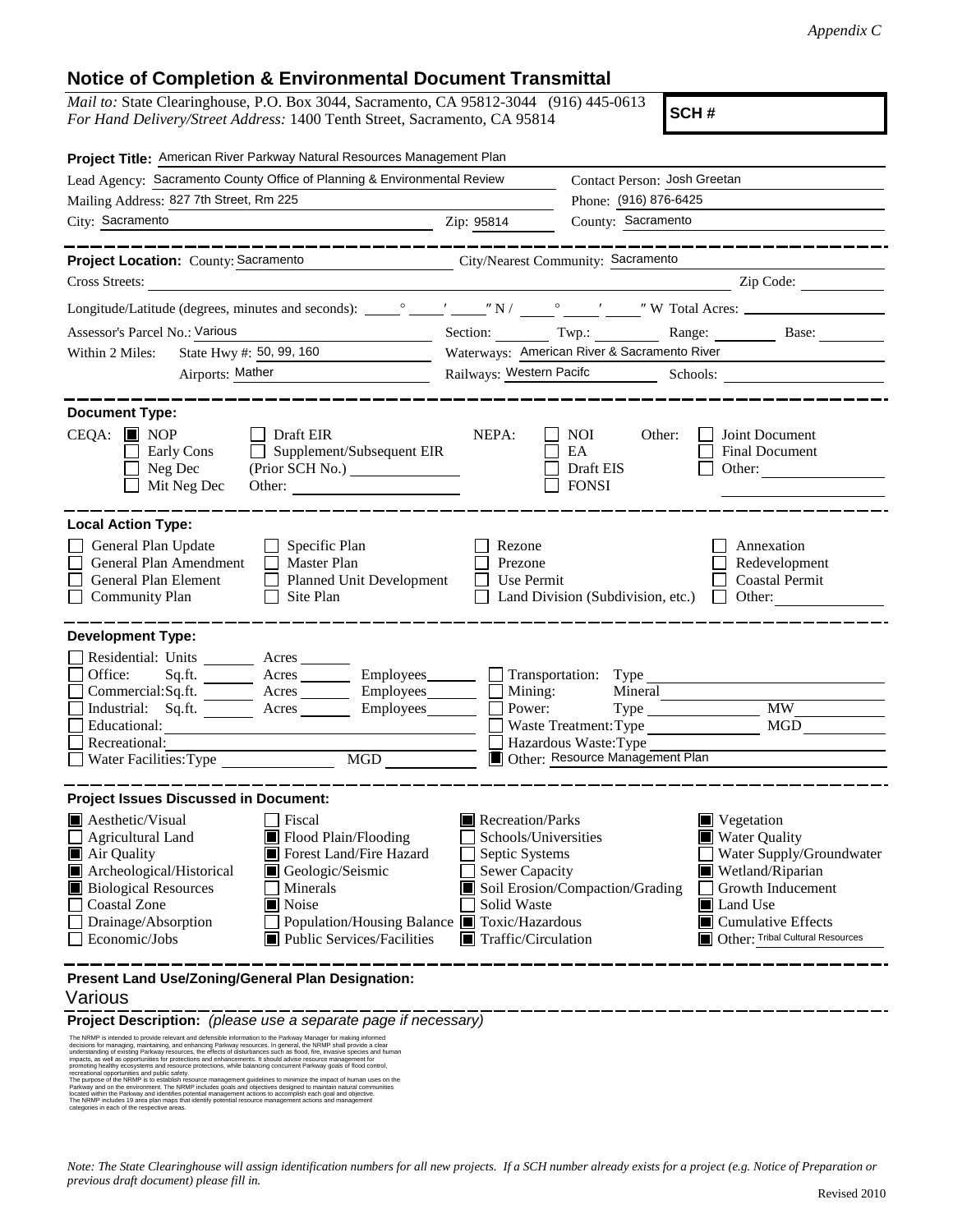## **Notice of Completion & Environmental Document Transmittal**

*Mail to:* State Clearinghouse, P.O. Box 3044, Sacramento, CA 95812-3044 (916) 445-0613 *For Hand Delivery/Street Address:* 1400 Tenth Street, Sacramento, CA 95814

**SCH #**

| Project Title: American River Parkway Natural Resources Management Plan                                                                                                                                                                                                                                                                                                           |                                                                                                                                          |                                                           |                                                                                                                                                                                                                                                                                                                                                                                                                  |
|-----------------------------------------------------------------------------------------------------------------------------------------------------------------------------------------------------------------------------------------------------------------------------------------------------------------------------------------------------------------------------------|------------------------------------------------------------------------------------------------------------------------------------------|-----------------------------------------------------------|------------------------------------------------------------------------------------------------------------------------------------------------------------------------------------------------------------------------------------------------------------------------------------------------------------------------------------------------------------------------------------------------------------------|
| Lead Agency: Sacramento County Office of Planning & Environmental Review                                                                                                                                                                                                                                                                                                          |                                                                                                                                          | Contact Person: Josh Greetan                              |                                                                                                                                                                                                                                                                                                                                                                                                                  |
| Mailing Address: 827 7th Street, Rm 225                                                                                                                                                                                                                                                                                                                                           |                                                                                                                                          | Phone: (916) 876-6425                                     |                                                                                                                                                                                                                                                                                                                                                                                                                  |
| City: Sacramento<br>Zip: 95814                                                                                                                                                                                                                                                                                                                                                    |                                                                                                                                          | County: Sacramento                                        |                                                                                                                                                                                                                                                                                                                                                                                                                  |
| . _ _ _ _ _ _ _ _ _ _ _ _ _ _ _                                                                                                                                                                                                                                                                                                                                                   |                                                                                                                                          |                                                           |                                                                                                                                                                                                                                                                                                                                                                                                                  |
| Project Location: County: Sacramento City/Nearest Community: Sacramento                                                                                                                                                                                                                                                                                                           |                                                                                                                                          |                                                           |                                                                                                                                                                                                                                                                                                                                                                                                                  |
| Cross Streets:                                                                                                                                                                                                                                                                                                                                                                    |                                                                                                                                          |                                                           | $\frac{1}{\sqrt{1-\frac{1}{2}}\sqrt{1-\frac{1}{2}}\sqrt{1-\frac{1}{2}}\sqrt{1-\frac{1}{2}}}}$ $\frac{1}{\sqrt{1-\frac{1}{2}}\sqrt{1-\frac{1}{2}}\sqrt{1-\frac{1}{2}}\sqrt{1-\frac{1}{2}}\sqrt{1-\frac{1}{2}}\sqrt{1-\frac{1}{2}}\sqrt{1-\frac{1}{2}}\sqrt{1-\frac{1}{2}}\sqrt{1-\frac{1}{2}}\sqrt{1-\frac{1}{2}}\sqrt{1-\frac{1}{2}}\sqrt{1-\frac{1}{2}}\sqrt{1-\frac{1}{2}}\sqrt{1-\frac{1}{2}}\sqrt{1-\frac{1$ |
|                                                                                                                                                                                                                                                                                                                                                                                   |                                                                                                                                          |                                                           |                                                                                                                                                                                                                                                                                                                                                                                                                  |
| <u> 1990 - Jan Barbara Barbara, politik eta politik eta politik eta politik eta politik eta politik eta politik </u><br>Assessor's Parcel No.: Various                                                                                                                                                                                                                            |                                                                                                                                          |                                                           | Section: Twp.: Range: Base: Base:                                                                                                                                                                                                                                                                                                                                                                                |
| State Hwy $\#$ : 50, 99, 160<br>Within 2 Miles:                                                                                                                                                                                                                                                                                                                                   |                                                                                                                                          | Waterways: American River & Sacramento River              |                                                                                                                                                                                                                                                                                                                                                                                                                  |
| Airports: Mather                                                                                                                                                                                                                                                                                                                                                                  |                                                                                                                                          |                                                           | Railways: Western Pacifc Schools:                                                                                                                                                                                                                                                                                                                                                                                |
|                                                                                                                                                                                                                                                                                                                                                                                   |                                                                                                                                          |                                                           |                                                                                                                                                                                                                                                                                                                                                                                                                  |
| <b>Document Type:</b>                                                                                                                                                                                                                                                                                                                                                             |                                                                                                                                          |                                                           |                                                                                                                                                                                                                                                                                                                                                                                                                  |
| $CEQA:$ MOP<br>│ │ Draft EIR<br>$\Box$ Supplement/Subsequent EIR<br>Early Cons<br>$\Box$ Neg Dec<br>(Prior SCH No.)<br>$\Box$ Mit Neg Dec<br>Other:                                                                                                                                                                                                                               | NEPA:                                                                                                                                    | NOI DOMESTIC<br>Other:<br>EA<br>Draft EIS<br><b>FONSI</b> | Joint Document<br>Final Document<br>Other: $\qquad \qquad$                                                                                                                                                                                                                                                                                                                                                       |
| <b>Local Action Type:</b>                                                                                                                                                                                                                                                                                                                                                         |                                                                                                                                          |                                                           |                                                                                                                                                                                                                                                                                                                                                                                                                  |
| General Plan Update<br>$\Box$ Specific Plan<br>Rezone<br>Annexation<br>General Plan Amendment<br>$\Box$ Master Plan<br>Prezone<br>Redevelopment<br>General Plan Element<br>Planned Unit Development<br>Use Permit<br><b>Coastal Permit</b><br><b>Community Plan</b><br>Site Plan<br>$\Box$ Land Division (Subdivision, etc.) $\Box$ Other:<br>$\Box$                              |                                                                                                                                          |                                                           |                                                                                                                                                                                                                                                                                                                                                                                                                  |
| <b>Development Type:</b>                                                                                                                                                                                                                                                                                                                                                          |                                                                                                                                          |                                                           |                                                                                                                                                                                                                                                                                                                                                                                                                  |
| Residential: Units ________ Acres _______<br>Sq.ft. ________ Acres _________ Employees _______ __ Transportation: Type _______<br>Office:<br>Commercial:Sq.ft. ________ Acres _________ Employees ________ __ Mining:<br>Industrial: Sq.ft. _______ Acres ________ Employees _______ $\Box$                                                                                       | Power:                                                                                                                                   | Waste Treatment: Type                                     | <b>MW</b><br>$MGD$ <sub>____</sub>                                                                                                                                                                                                                                                                                                                                                                               |
| Recreational:                                                                                                                                                                                                                                                                                                                                                                     |                                                                                                                                          | Hazardous Waste: Type                                     |                                                                                                                                                                                                                                                                                                                                                                                                                  |
| Number of Number of Number of Number of Number of Number of Number of Number of Number of Number of Number of N<br>Number of Number of Number of Number of Number of Number of Number of Number of Number of Number of Number of<br>$\overline{MGD}$                                                                                                                              | Other: Resource Management Plan                                                                                                          |                                                           |                                                                                                                                                                                                                                                                                                                                                                                                                  |
| <b>Project Issues Discussed in Document:</b>                                                                                                                                                                                                                                                                                                                                      |                                                                                                                                          |                                                           |                                                                                                                                                                                                                                                                                                                                                                                                                  |
| <b>A</b> esthetic/Visual<br>  Fiscal<br>Flood Plain/Flooding<br>$\Box$ Agricultural Land<br>Air Quality<br>Forest Land/Fire Hazard<br>Archeological/Historical<br>Geologic/Seismic<br><b>Biological Resources</b><br>Minerals<br><b>Coastal Zone</b><br>Noise<br>Drainage/Absorption<br>Population/Housing Balance Toxic/Hazardous<br>Economic/Jobs<br>Public Services/Facilities | $\blacksquare$ Recreation/Parks<br>Schools/Universities<br>Septic Systems<br><b>Sewer Capacity</b><br>Solid Waste<br>Traffic/Circulation | Soil Erosion/Compaction/Grading                           | $\blacksquare$ Vegetation<br>Water Quality<br>Water Supply/Groundwater<br>Wetland/Riparian<br>Growth Inducement<br>Land Use<br>$\blacksquare$ Cumulative Effects<br>Other: Tribal Cultural Resources                                                                                                                                                                                                             |
| Present Land Use/Zoning/General Plan Designation:<br>Various                                                                                                                                                                                                                                                                                                                      |                                                                                                                                          |                                                           |                                                                                                                                                                                                                                                                                                                                                                                                                  |
| Project Description: (please use a separate page if necessary)                                                                                                                                                                                                                                                                                                                    |                                                                                                                                          |                                                           |                                                                                                                                                                                                                                                                                                                                                                                                                  |
| The NRMP is intended to provide relevant and defensible information to the Parkway Manager for making informed<br>decisions for managing, maintaining, and enhancing Parkway resources. In general, the NRMP shall provide a clea                                                                                                                                                 |                                                                                                                                          |                                                           |                                                                                                                                                                                                                                                                                                                                                                                                                  |

understanding of existing Parkway resources, the effects of disturbances such as flood, fire, invasive species and human<br>impacts, as well as opportunities for protections and enhancements. It should advise resource managem

promoting healthy ecosystems and resource protections, while balancing concurrent Parkway goals of flood control,<br>recreational opportunities and public safety.<br>The purpose of the NRMP is to establish resource management gu

Parkway and on the environment. The NRMP includes goals and objectives designed to maintain natural communities located within the Parkway and identifies potential management actions to accomplish each goal and objective.

The NRMP includes 19 area plan maps that identify potential resource management actions and management categories in each of the respective areas.

*Note: The State Clearinghouse will assign identification numbers for all new projects. If a SCH number already exists for a project (e.g. Notice of Preparation or previous draft document) please fill in.*